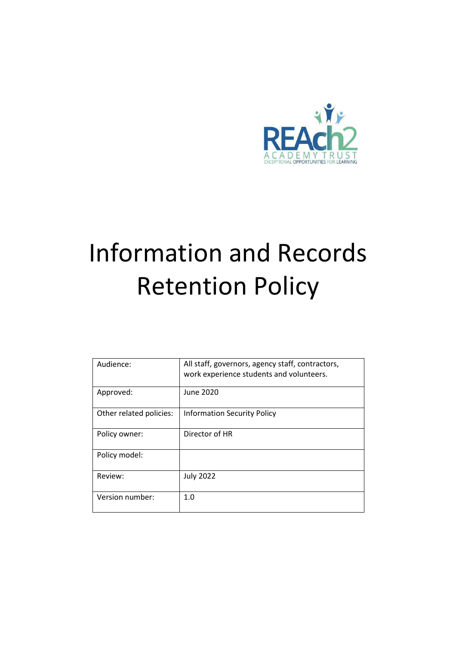

# Information and Records Retention Policy

| Audience:               | All staff, governors, agency staff, contractors,<br>work experience students and volunteers. |
|-------------------------|----------------------------------------------------------------------------------------------|
| Approved:               | <b>June 2020</b>                                                                             |
| Other related policies: | <b>Information Security Policy</b>                                                           |
| Policy owner:           | Director of HR                                                                               |
| Policy model:           |                                                                                              |
| Review:                 | <b>July 2022</b>                                                                             |
| Version number:         | 1.0                                                                                          |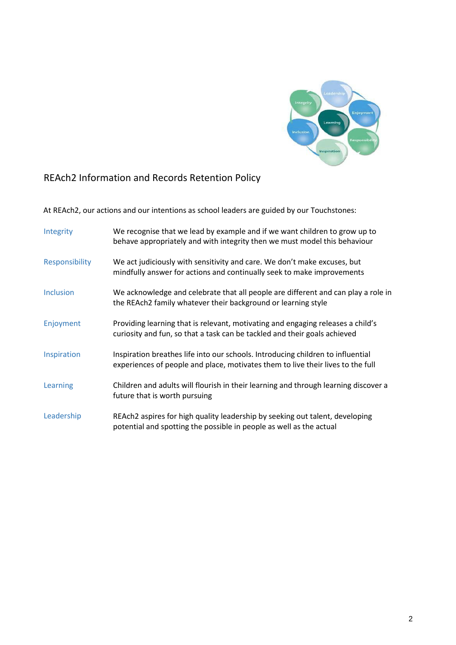

# REAch2 Information and Records Retention Policy

At REAch2, our actions and our intentions as school leaders are guided by our Touchstones:

| Integrity        | We recognise that we lead by example and if we want children to grow up to<br>behave appropriately and with integrity then we must model this behaviour            |
|------------------|--------------------------------------------------------------------------------------------------------------------------------------------------------------------|
| Responsibility   | We act judiciously with sensitivity and care. We don't make excuses, but<br>mindfully answer for actions and continually seek to make improvements                 |
| <b>Inclusion</b> | We acknowledge and celebrate that all people are different and can play a role in<br>the REAch2 family whatever their background or learning style                 |
| Enjoyment        | Providing learning that is relevant, motivating and engaging releases a child's<br>curiosity and fun, so that a task can be tackled and their goals achieved       |
| Inspiration      | Inspiration breathes life into our schools. Introducing children to influential<br>experiences of people and place, motivates them to live their lives to the full |
| Learning         | Children and adults will flourish in their learning and through learning discover a<br>future that is worth pursuing                                               |
| Leadership       | REAch2 aspires for high quality leadership by seeking out talent, developing<br>potential and spotting the possible in people as well as the actual                |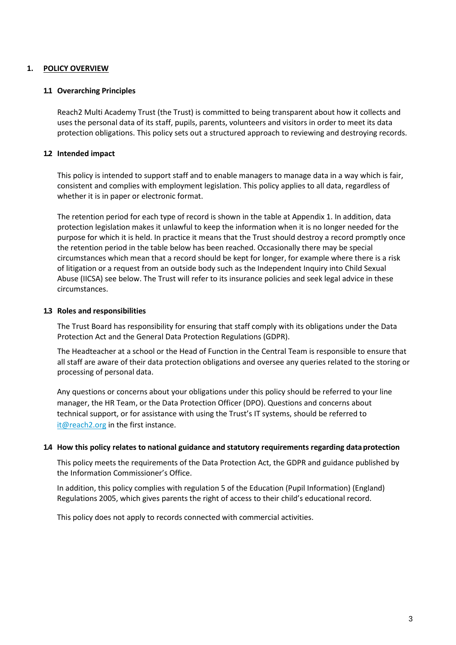### **1. POLICY OVERVIEW**

#### **1.1 Overarching Principles**

Reach2 Multi Academy Trust (the Trust) is committed to being transparent about how it collects and uses the personal data of its staff, pupils, parents, volunteers and visitors in order to meet its data protection obligations. This policy sets out a structured approach to reviewing and destroying records.

#### **1.2 Intended impact**

This policy is intended to support staff and to enable managers to manage data in a way which is fair, consistent and complies with employment legislation. This policy applies to all data, regardless of whether it is in paper or electronic format.

The retention period for each type of record is shown in the table at Appendix 1. In addition, data protection legislation makes it unlawful to keep the information when it is no longer needed for the purpose for which it is held. In practice it means that the Trust should destroy a record promptly once the retention period in the table below has been reached. Occasionally there may be special circumstances which mean that a record should be kept for longer, for example where there is a risk of litigation or a request from an outside body such as the Independent Inquiry into Child Sexual Abuse (IICSA) see below. The Trust will refer to its insurance policies and seek legal advice in these circumstances.

#### **1.3 Roles and responsibilities**

The Trust Board has responsibility for ensuring that staff comply with its obligations under the Data Protection Act and the General Data Protection Regulations (GDPR).

The Headteacher at a school or the Head of Function in the Central Team is responsible to ensure that all staff are aware of their data protection obligations and oversee any queries related to the storing or processing of personal data.

Any questions or concerns about your obligations under this policy should be referred to your line manager, the HR Team, or the Data Protection Officer (DPO). Questions and concerns about technical support, or for assistance with using the Trust's IT systems, should be referred to [it@reach2.org](mailto:it@reach2.org) in the first instance.

#### **1.4 How this policy relates to national guidance and statutory requirements regarding dataprotection**

This policy meets the requirements of the Data Protection Act, the GDPR and guidance published by the Information Commissioner's Office.

In addition, this policy complies with regulation 5 of the Education (Pupil Information) (England) Regulations 2005, which gives parents the right of access to their child's educational record.

This policy does not apply to records connected with commercial activities.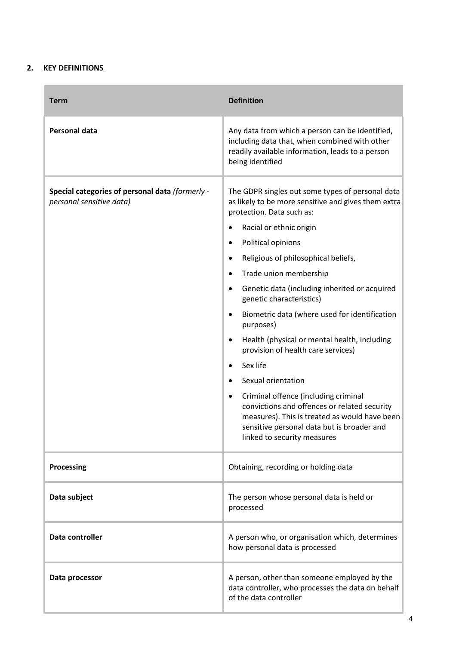## **2. KEY DEFINITIONS**

| <b>Term</b>                                                                 | <b>Definition</b>                                                                                                                                                                                                                                                                                                                                                                                                                                         |
|-----------------------------------------------------------------------------|-----------------------------------------------------------------------------------------------------------------------------------------------------------------------------------------------------------------------------------------------------------------------------------------------------------------------------------------------------------------------------------------------------------------------------------------------------------|
| <b>Personal data</b>                                                        | Any data from which a person can be identified,<br>including data that, when combined with other<br>readily available information, leads to a person<br>being identified                                                                                                                                                                                                                                                                                  |
| Special categories of personal data (formerly -<br>personal sensitive data) | The GDPR singles out some types of personal data<br>as likely to be more sensitive and gives them extra<br>protection. Data such as:<br>Racial or ethnic origin<br>Political opinions<br>Religious of philosophical beliefs,<br>٠<br>Trade union membership<br>٠<br>Genetic data (including inherited or acquired<br>٠<br>genetic characteristics)                                                                                                        |
|                                                                             | Biometric data (where used for identification<br>$\bullet$<br>purposes)<br>Health (physical or mental health, including<br>٠<br>provision of health care services)<br>Sex life<br>$\bullet$<br>Sexual orientation<br>$\bullet$<br>Criminal offence (including criminal<br>٠<br>convictions and offences or related security<br>measures). This is treated as would have been<br>sensitive personal data but is broader and<br>linked to security measures |
| <b>Processing</b>                                                           | Obtaining, recording or holding data                                                                                                                                                                                                                                                                                                                                                                                                                      |
| Data subject                                                                | The person whose personal data is held or<br>processed                                                                                                                                                                                                                                                                                                                                                                                                    |
| Data controller                                                             | A person who, or organisation which, determines<br>how personal data is processed                                                                                                                                                                                                                                                                                                                                                                         |
| Data processor                                                              | A person, other than someone employed by the<br>data controller, who processes the data on behalf<br>of the data controller                                                                                                                                                                                                                                                                                                                               |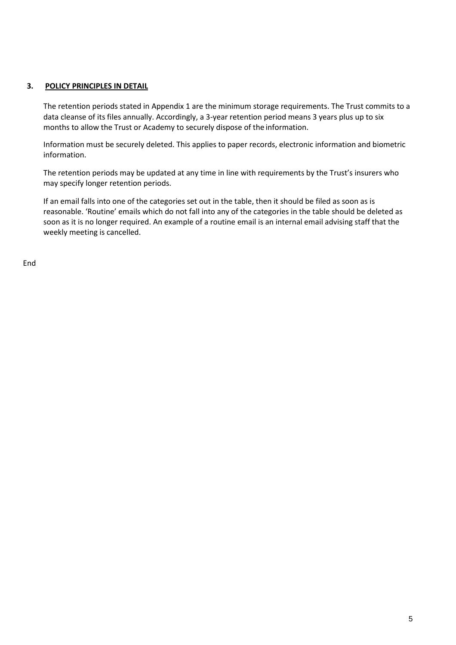#### **3. POLICY PRINCIPLES IN DETAIL**

The retention periods stated in Appendix 1 are the minimum storage requirements. The Trust commits to a data cleanse of its files annually. Accordingly, a 3-year retention period means 3 years plus up to six months to allow the Trust or Academy to securely dispose of the information.

Information must be securely deleted. This applies to paper records, electronic information and biometric information.

The retention periods may be updated at any time in line with requirements by the Trust's insurers who may specify longer retention periods.

If an email falls into one of the categories set out in the table, then it should be filed as soon as is reasonable. 'Routine' emails which do not fall into any of the categories in the table should be deleted as soon as it is no longer required. An example of a routine email is an internal email advising staff that the weekly meeting is cancelled.

End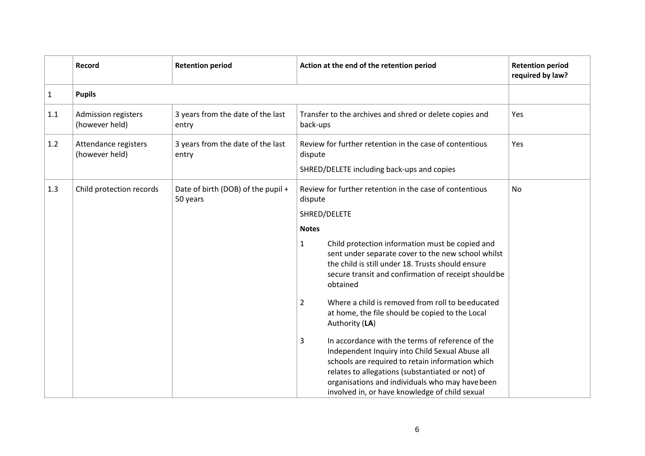|              | Record                                 | <b>Retention period</b>                        | Action at the end of the retention period                                                                                                                                                                                                                                                                                                                                                                                                                                                                                                                                                                                                                                                                                                                               | <b>Retention period</b><br>required by law? |
|--------------|----------------------------------------|------------------------------------------------|-------------------------------------------------------------------------------------------------------------------------------------------------------------------------------------------------------------------------------------------------------------------------------------------------------------------------------------------------------------------------------------------------------------------------------------------------------------------------------------------------------------------------------------------------------------------------------------------------------------------------------------------------------------------------------------------------------------------------------------------------------------------------|---------------------------------------------|
| $\mathbf{1}$ | <b>Pupils</b>                          |                                                |                                                                                                                                                                                                                                                                                                                                                                                                                                                                                                                                                                                                                                                                                                                                                                         |                                             |
| 1.1          | Admission registers<br>(however held)  | 3 years from the date of the last<br>entry     | Transfer to the archives and shred or delete copies and<br>back-ups                                                                                                                                                                                                                                                                                                                                                                                                                                                                                                                                                                                                                                                                                                     | Yes                                         |
| 1.2          | Attendance registers<br>(however held) | 3 years from the date of the last<br>entry     | Review for further retention in the case of contentious<br>dispute<br>SHRED/DELETE including back-ups and copies                                                                                                                                                                                                                                                                                                                                                                                                                                                                                                                                                                                                                                                        | Yes                                         |
| 1.3          | Child protection records               | Date of birth (DOB) of the pupil +<br>50 years | Review for further retention in the case of contentious<br>dispute<br>SHRED/DELETE<br><b>Notes</b><br>$\mathbf{1}$<br>Child protection information must be copied and<br>sent under separate cover to the new school whilst<br>the child is still under 18. Trusts should ensure<br>secure transit and confirmation of receipt should be<br>obtained<br>Where a child is removed from roll to be educated<br>$\overline{2}$<br>at home, the file should be copied to the Local<br>Authority (LA)<br>In accordance with the terms of reference of the<br>3<br>Independent Inquiry into Child Sexual Abuse all<br>schools are required to retain information which<br>relates to allegations (substantiated or not) of<br>organisations and individuals who may have been | No                                          |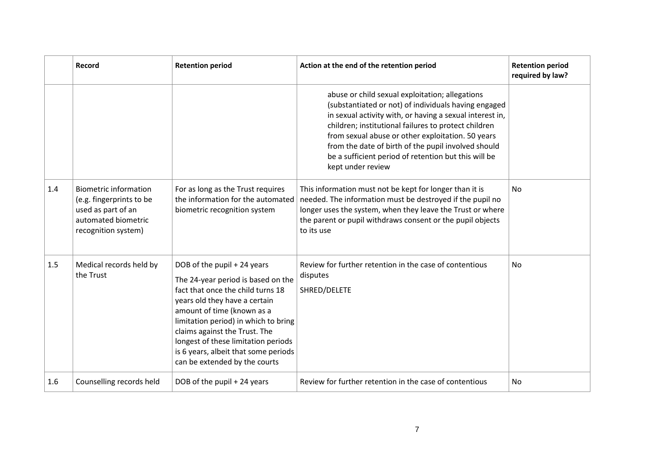|     | Record                                                                                                                       | <b>Retention period</b>                                                                                                                                                                                                                                                                                                                                        | Action at the end of the retention period                                                                                                                                                                                                                                                                                                                                                                            | <b>Retention period</b><br>required by law? |
|-----|------------------------------------------------------------------------------------------------------------------------------|----------------------------------------------------------------------------------------------------------------------------------------------------------------------------------------------------------------------------------------------------------------------------------------------------------------------------------------------------------------|----------------------------------------------------------------------------------------------------------------------------------------------------------------------------------------------------------------------------------------------------------------------------------------------------------------------------------------------------------------------------------------------------------------------|---------------------------------------------|
|     |                                                                                                                              |                                                                                                                                                                                                                                                                                                                                                                | abuse or child sexual exploitation; allegations<br>(substantiated or not) of individuals having engaged<br>in sexual activity with, or having a sexual interest in,<br>children; institutional failures to protect children<br>from sexual abuse or other exploitation. 50 years<br>from the date of birth of the pupil involved should<br>be a sufficient period of retention but this will be<br>kept under review |                                             |
| 1.4 | <b>Biometric information</b><br>(e.g. fingerprints to be<br>used as part of an<br>automated biometric<br>recognition system) | For as long as the Trust requires<br>the information for the automated<br>biometric recognition system                                                                                                                                                                                                                                                         | This information must not be kept for longer than it is<br>needed. The information must be destroyed if the pupil no<br>longer uses the system, when they leave the Trust or where<br>the parent or pupil withdraws consent or the pupil objects<br>to its use                                                                                                                                                       | <b>No</b>                                   |
| 1.5 | Medical records held by<br>the Trust                                                                                         | DOB of the pupil + 24 years<br>The 24-year period is based on the<br>fact that once the child turns 18<br>years old they have a certain<br>amount of time (known as a<br>limitation period) in which to bring<br>claims against the Trust. The<br>longest of these limitation periods<br>is 6 years, albeit that some periods<br>can be extended by the courts | Review for further retention in the case of contentious<br>disputes<br>SHRED/DELETE                                                                                                                                                                                                                                                                                                                                  | <b>No</b>                                   |
| 1.6 | Counselling records held                                                                                                     | DOB of the pupil + 24 years                                                                                                                                                                                                                                                                                                                                    | Review for further retention in the case of contentious                                                                                                                                                                                                                                                                                                                                                              | No                                          |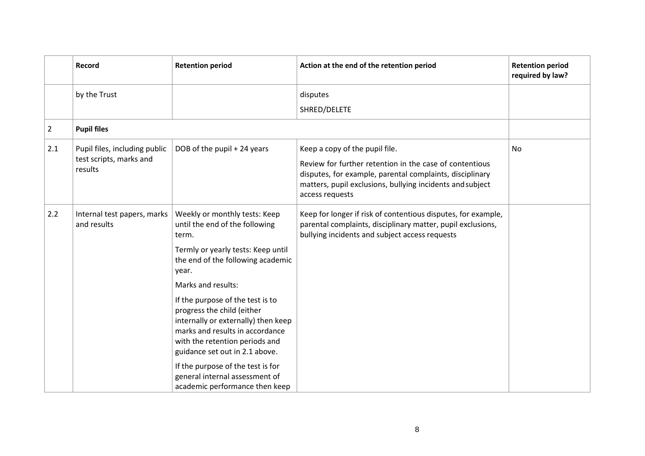|                | Record                                     | <b>Retention period</b>                                                                                                                                                                                      | Action at the end of the retention period                                                                                                                                                           | <b>Retention period</b><br>required by law? |
|----------------|--------------------------------------------|--------------------------------------------------------------------------------------------------------------------------------------------------------------------------------------------------------------|-----------------------------------------------------------------------------------------------------------------------------------------------------------------------------------------------------|---------------------------------------------|
|                | by the Trust                               |                                                                                                                                                                                                              | disputes                                                                                                                                                                                            |                                             |
|                |                                            |                                                                                                                                                                                                              | SHRED/DELETE                                                                                                                                                                                        |                                             |
| $\overline{2}$ | <b>Pupil files</b>                         |                                                                                                                                                                                                              |                                                                                                                                                                                                     |                                             |
| 2.1            | Pupil files, including public              | DOB of the pupil + 24 years                                                                                                                                                                                  | Keep a copy of the pupil file.                                                                                                                                                                      | <b>No</b>                                   |
|                | test scripts, marks and<br>results         |                                                                                                                                                                                                              | Review for further retention in the case of contentious<br>disputes, for example, parental complaints, disciplinary<br>matters, pupil exclusions, bullying incidents and subject<br>access requests |                                             |
| 2.2            | Internal test papers, marks<br>and results | Weekly or monthly tests: Keep<br>until the end of the following<br>term.                                                                                                                                     | Keep for longer if risk of contentious disputes, for example,<br>parental complaints, disciplinary matter, pupil exclusions,<br>bullying incidents and subject access requests                      |                                             |
|                |                                            | Termly or yearly tests: Keep until<br>the end of the following academic<br>year.                                                                                                                             |                                                                                                                                                                                                     |                                             |
|                |                                            | Marks and results:                                                                                                                                                                                           |                                                                                                                                                                                                     |                                             |
|                |                                            | If the purpose of the test is to<br>progress the child (either<br>internally or externally) then keep<br>marks and results in accordance<br>with the retention periods and<br>guidance set out in 2.1 above. |                                                                                                                                                                                                     |                                             |
|                |                                            | If the purpose of the test is for<br>general internal assessment of<br>academic performance then keep                                                                                                        |                                                                                                                                                                                                     |                                             |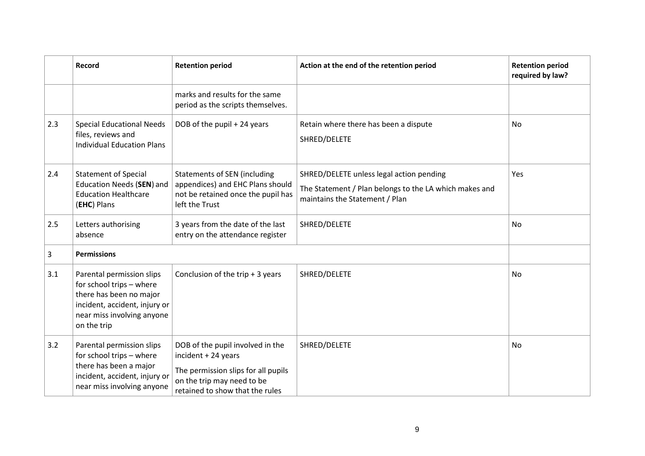|     | Record                                                                                                                                                         | <b>Retention period</b>                                                                                                                                         | Action at the end of the retention period                                                                                            | <b>Retention period</b><br>required by law? |
|-----|----------------------------------------------------------------------------------------------------------------------------------------------------------------|-----------------------------------------------------------------------------------------------------------------------------------------------------------------|--------------------------------------------------------------------------------------------------------------------------------------|---------------------------------------------|
|     |                                                                                                                                                                | marks and results for the same<br>period as the scripts themselves.                                                                                             |                                                                                                                                      |                                             |
| 2.3 | <b>Special Educational Needs</b><br>files, reviews and<br><b>Individual Education Plans</b>                                                                    | DOB of the pupil + 24 years                                                                                                                                     | Retain where there has been a dispute<br>SHRED/DELETE                                                                                | No                                          |
| 2.4 | <b>Statement of Special</b><br><b>Education Needs (SEN) and</b><br><b>Education Healthcare</b><br>(EHC) Plans                                                  | <b>Statements of SEN (including</b><br>appendices) and EHC Plans should<br>not be retained once the pupil has<br>left the Trust                                 | SHRED/DELETE unless legal action pending<br>The Statement / Plan belongs to the LA which makes and<br>maintains the Statement / Plan | Yes                                         |
| 2.5 | Letters authorising<br>absence                                                                                                                                 | 3 years from the date of the last<br>entry on the attendance register                                                                                           | SHRED/DELETE                                                                                                                         | <b>No</b>                                   |
| 3   | <b>Permissions</b>                                                                                                                                             |                                                                                                                                                                 |                                                                                                                                      |                                             |
| 3.1 | Parental permission slips<br>for school trips - where<br>there has been no major<br>incident, accident, injury or<br>near miss involving anyone<br>on the trip | Conclusion of the trip $+3$ years                                                                                                                               | SHRED/DELETE                                                                                                                         | No                                          |
| 3.2 | Parental permission slips<br>for school trips - where<br>there has been a major<br>incident, accident, injury or<br>near miss involving anyone                 | DOB of the pupil involved in the<br>incident + 24 years<br>The permission slips for all pupils<br>on the trip may need to be<br>retained to show that the rules | SHRED/DELETE                                                                                                                         | No                                          |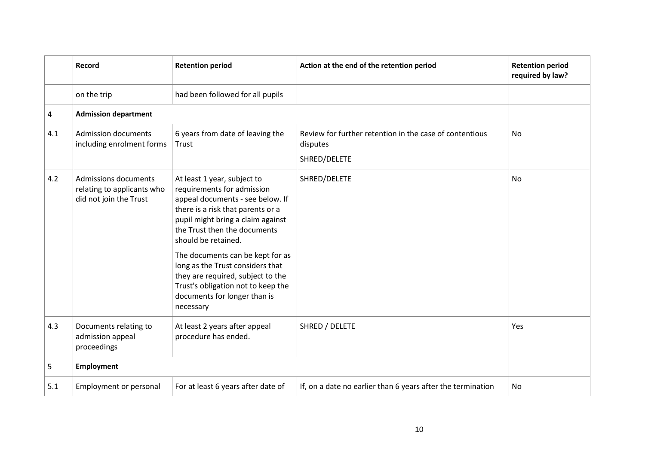|     | Record                                                                              | <b>Retention period</b>                                                                                                                                                                                                        | Action at the end of the retention period                                           | <b>Retention period</b><br>required by law? |
|-----|-------------------------------------------------------------------------------------|--------------------------------------------------------------------------------------------------------------------------------------------------------------------------------------------------------------------------------|-------------------------------------------------------------------------------------|---------------------------------------------|
|     | on the trip                                                                         | had been followed for all pupils                                                                                                                                                                                               |                                                                                     |                                             |
| 4   | <b>Admission department</b>                                                         |                                                                                                                                                                                                                                |                                                                                     |                                             |
| 4.1 | <b>Admission documents</b><br>including enrolment forms                             | 6 years from date of leaving the<br>Trust                                                                                                                                                                                      | Review for further retention in the case of contentious<br>disputes<br>SHRED/DELETE | No                                          |
| 4.2 | <b>Admissions documents</b><br>relating to applicants who<br>did not join the Trust | At least 1 year, subject to<br>requirements for admission<br>appeal documents - see below. If<br>there is a risk that parents or a<br>pupil might bring a claim against<br>the Trust then the documents<br>should be retained. | SHRED/DELETE                                                                        | No                                          |
|     |                                                                                     | The documents can be kept for as<br>long as the Trust considers that<br>they are required, subject to the<br>Trust's obligation not to keep the<br>documents for longer than is<br>necessary                                   |                                                                                     |                                             |
| 4.3 | Documents relating to<br>admission appeal<br>proceedings                            | At least 2 years after appeal<br>procedure has ended.                                                                                                                                                                          | SHRED / DELETE                                                                      | Yes                                         |
| 5   | <b>Employment</b>                                                                   |                                                                                                                                                                                                                                |                                                                                     |                                             |
| 5.1 | Employment or personal                                                              | For at least 6 years after date of                                                                                                                                                                                             | If, on a date no earlier than 6 years after the termination                         | No                                          |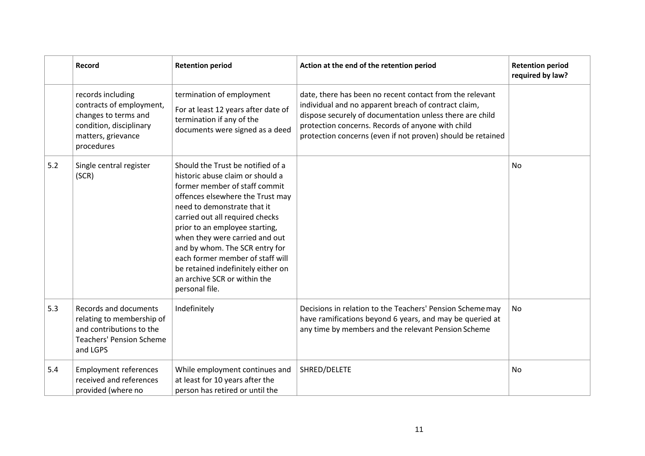|     | Record                                                                                                                               | <b>Retention period</b>                                                                                                                                                                                                                                                                                                                                                                                                                        | Action at the end of the retention period                                                                                                                                                                                                                                                        | <b>Retention period</b><br>required by law? |
|-----|--------------------------------------------------------------------------------------------------------------------------------------|------------------------------------------------------------------------------------------------------------------------------------------------------------------------------------------------------------------------------------------------------------------------------------------------------------------------------------------------------------------------------------------------------------------------------------------------|--------------------------------------------------------------------------------------------------------------------------------------------------------------------------------------------------------------------------------------------------------------------------------------------------|---------------------------------------------|
|     | records including<br>contracts of employment,<br>changes to terms and<br>condition, disciplinary<br>matters, grievance<br>procedures | termination of employment<br>For at least 12 years after date of<br>termination if any of the<br>documents were signed as a deed                                                                                                                                                                                                                                                                                                               | date, there has been no recent contact from the relevant<br>individual and no apparent breach of contract claim,<br>dispose securely of documentation unless there are child<br>protection concerns. Records of anyone with child<br>protection concerns (even if not proven) should be retained |                                             |
| 5.2 | Single central register<br>(SCR)                                                                                                     | Should the Trust be notified of a<br>historic abuse claim or should a<br>former member of staff commit<br>offences elsewhere the Trust may<br>need to demonstrate that it<br>carried out all required checks<br>prior to an employee starting,<br>when they were carried and out<br>and by whom. The SCR entry for<br>each former member of staff will<br>be retained indefinitely either on<br>an archive SCR or within the<br>personal file. |                                                                                                                                                                                                                                                                                                  | <b>No</b>                                   |
| 5.3 | Records and documents<br>relating to membership of<br>and contributions to the<br><b>Teachers' Pension Scheme</b><br>and LGPS        | Indefinitely                                                                                                                                                                                                                                                                                                                                                                                                                                   | Decisions in relation to the Teachers' Pension Scheme may<br>have ramifications beyond 6 years, and may be queried at<br>any time by members and the relevant Pension Scheme                                                                                                                     | No                                          |
| 5.4 | <b>Employment references</b><br>received and references<br>provided (where no                                                        | While employment continues and<br>at least for 10 years after the<br>person has retired or until the                                                                                                                                                                                                                                                                                                                                           | SHRED/DELETE                                                                                                                                                                                                                                                                                     | No                                          |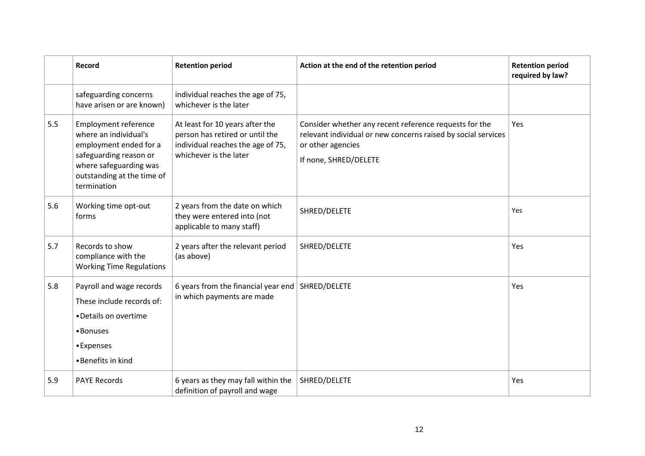|     | Record                                                                                                                                                                          | <b>Retention period</b>                                                                                                           | Action at the end of the retention period                                                                                                                             | <b>Retention period</b><br>required by law? |
|-----|---------------------------------------------------------------------------------------------------------------------------------------------------------------------------------|-----------------------------------------------------------------------------------------------------------------------------------|-----------------------------------------------------------------------------------------------------------------------------------------------------------------------|---------------------------------------------|
|     | safeguarding concerns<br>have arisen or are known)                                                                                                                              | individual reaches the age of 75,<br>whichever is the later                                                                       |                                                                                                                                                                       |                                             |
| 5.5 | <b>Employment reference</b><br>where an individual's<br>employment ended for a<br>safeguarding reason or<br>where safeguarding was<br>outstanding at the time of<br>termination | At least for 10 years after the<br>person has retired or until the<br>individual reaches the age of 75,<br>whichever is the later | Consider whether any recent reference requests for the<br>relevant individual or new concerns raised by social services<br>or other agencies<br>If none, SHRED/DELETE | <b>Yes</b>                                  |
| 5.6 | Working time opt-out<br>forms                                                                                                                                                   | 2 years from the date on which<br>they were entered into (not<br>applicable to many staff)                                        | SHRED/DELETE                                                                                                                                                          | Yes                                         |
| 5.7 | Records to show<br>compliance with the<br><b>Working Time Regulations</b>                                                                                                       | 2 years after the relevant period<br>(as above)                                                                                   | SHRED/DELETE                                                                                                                                                          | Yes                                         |
| 5.8 | Payroll and wage records<br>These include records of:<br>• Details on overtime<br>•Bonuses<br>•Expenses<br>•Benefits in kind                                                    | 6 years from the financial year end<br>in which payments are made                                                                 | SHRED/DELETE                                                                                                                                                          | Yes                                         |
| 5.9 | <b>PAYE Records</b>                                                                                                                                                             | 6 years as they may fall within the<br>definition of payroll and wage                                                             | SHRED/DELETE                                                                                                                                                          | Yes                                         |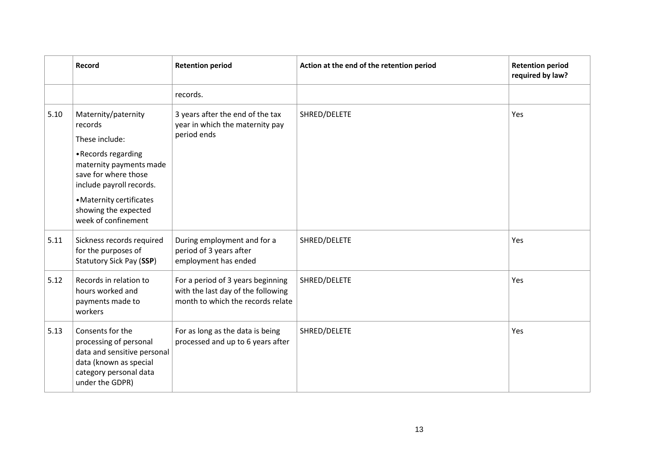|      | Record                                                                                                                                           | <b>Retention period</b>                                                                                      | Action at the end of the retention period | <b>Retention period</b><br>required by law? |
|------|--------------------------------------------------------------------------------------------------------------------------------------------------|--------------------------------------------------------------------------------------------------------------|-------------------------------------------|---------------------------------------------|
|      |                                                                                                                                                  | records.                                                                                                     |                                           |                                             |
| 5.10 | Maternity/paternity<br>records<br>These include:                                                                                                 | 3 years after the end of the tax<br>year in which the maternity pay<br>period ends                           | SHRED/DELETE                              | Yes                                         |
|      | • Records regarding<br>maternity payments made<br>save for where those<br>include payroll records.                                               |                                                                                                              |                                           |                                             |
|      | • Maternity certificates<br>showing the expected<br>week of confinement                                                                          |                                                                                                              |                                           |                                             |
| 5.11 | Sickness records required<br>for the purposes of<br>Statutory Sick Pay (SSP)                                                                     | During employment and for a<br>period of 3 years after<br>employment has ended                               | SHRED/DELETE                              | Yes                                         |
| 5.12 | Records in relation to<br>hours worked and<br>payments made to<br>workers                                                                        | For a period of 3 years beginning<br>with the last day of the following<br>month to which the records relate | SHRED/DELETE                              | Yes                                         |
| 5.13 | Consents for the<br>processing of personal<br>data and sensitive personal<br>data (known as special<br>category personal data<br>under the GDPR) | For as long as the data is being<br>processed and up to 6 years after                                        | SHRED/DELETE                              | Yes                                         |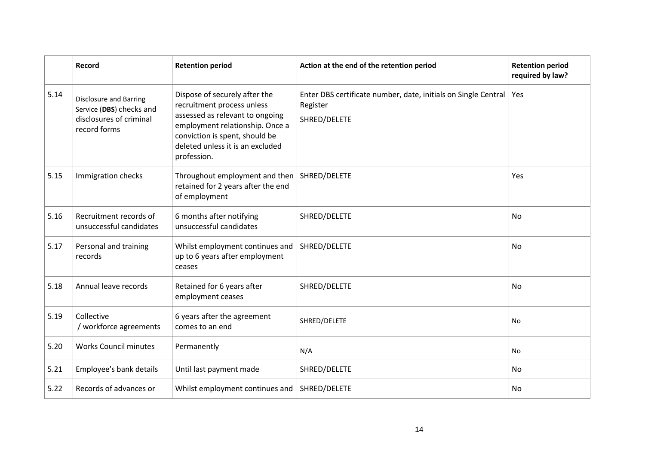|      | Record                                                                                               | <b>Retention period</b>                                                                                                                                                                                                | Action at the end of the retention period                                                  | <b>Retention period</b><br>required by law? |
|------|------------------------------------------------------------------------------------------------------|------------------------------------------------------------------------------------------------------------------------------------------------------------------------------------------------------------------------|--------------------------------------------------------------------------------------------|---------------------------------------------|
| 5.14 | <b>Disclosure and Barring</b><br>Service (DBS) checks and<br>disclosures of criminal<br>record forms | Dispose of securely after the<br>recruitment process unless<br>assessed as relevant to ongoing<br>employment relationship. Once a<br>conviction is spent, should be<br>deleted unless it is an excluded<br>profession. | Enter DBS certificate number, date, initials on Single Central<br>Register<br>SHRED/DELETE | Yes                                         |
| 5.15 | Immigration checks                                                                                   | Throughout employment and then<br>retained for 2 years after the end<br>of employment                                                                                                                                  | SHRED/DELETE                                                                               | Yes                                         |
| 5.16 | Recruitment records of<br>unsuccessful candidates                                                    | 6 months after notifying<br>unsuccessful candidates                                                                                                                                                                    | SHRED/DELETE                                                                               | No                                          |
| 5.17 | Personal and training<br>records                                                                     | Whilst employment continues and<br>up to 6 years after employment<br>ceases                                                                                                                                            | SHRED/DELETE                                                                               | <b>No</b>                                   |
| 5.18 | Annual leave records                                                                                 | Retained for 6 years after<br>employment ceases                                                                                                                                                                        | SHRED/DELETE                                                                               | <b>No</b>                                   |
| 5.19 | Collective<br>/ workforce agreements                                                                 | 6 years after the agreement<br>comes to an end                                                                                                                                                                         | SHRED/DELETE                                                                               | <b>No</b>                                   |
| 5.20 | <b>Works Council minutes</b>                                                                         | Permanently                                                                                                                                                                                                            | N/A                                                                                        | No                                          |
| 5.21 | Employee's bank details                                                                              | Until last payment made                                                                                                                                                                                                | SHRED/DELETE                                                                               | No                                          |
| 5.22 | Records of advances or                                                                               | Whilst employment continues and                                                                                                                                                                                        | SHRED/DELETE                                                                               | No                                          |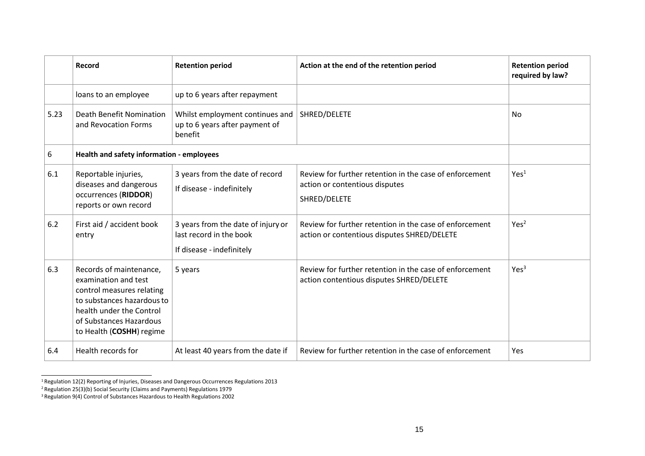|      | Record                                                                                                                                                                                        | <b>Retention period</b>                                                                    | Action at the end of the retention period                                                                 | <b>Retention period</b><br>required by law? |
|------|-----------------------------------------------------------------------------------------------------------------------------------------------------------------------------------------------|--------------------------------------------------------------------------------------------|-----------------------------------------------------------------------------------------------------------|---------------------------------------------|
|      | loans to an employee                                                                                                                                                                          | up to 6 years after repayment                                                              |                                                                                                           |                                             |
| 5.23 | <b>Death Benefit Nomination</b><br>and Revocation Forms                                                                                                                                       | Whilst employment continues and<br>up to 6 years after payment of<br>benefit               | SHRED/DELETE                                                                                              | No                                          |
| 6    | Health and safety information - employees                                                                                                                                                     |                                                                                            |                                                                                                           |                                             |
| 6.1  | Reportable injuries,<br>diseases and dangerous<br>occurrences (RIDDOR)<br>reports or own record                                                                                               | 3 years from the date of record<br>If disease - indefinitely                               | Review for further retention in the case of enforcement<br>action or contentious disputes<br>SHRED/DELETE | Yes <sup>1</sup>                            |
| 6.2  | First aid / accident book<br>entry                                                                                                                                                            | 3 years from the date of injury or<br>last record in the book<br>If disease - indefinitely | Review for further retention in the case of enforcement<br>action or contentious disputes SHRED/DELETE    | Yes <sup>2</sup>                            |
| 6.3  | Records of maintenance,<br>examination and test<br>control measures relating<br>to substances hazardous to<br>health under the Control<br>of Substances Hazardous<br>to Health (COSHH) regime | 5 years                                                                                    | Review for further retention in the case of enforcement<br>action contentious disputes SHRED/DELETE       | Yes <sup>3</sup>                            |
| 6.4  | Health records for                                                                                                                                                                            | At least 40 years from the date if                                                         | Review for further retention in the case of enforcement                                                   | Yes                                         |

<sup>1</sup>Regulation 12(2) Reporting of Injuries, Diseases and Dangerous Occurrences Regulations 2013

<sup>2</sup>Regulation 25(3)(b) Social Security (Claims and Payments) Regulations 1979

<sup>3</sup> Regulation 9(4) Control of Substances Hazardous to Health Regulations 2002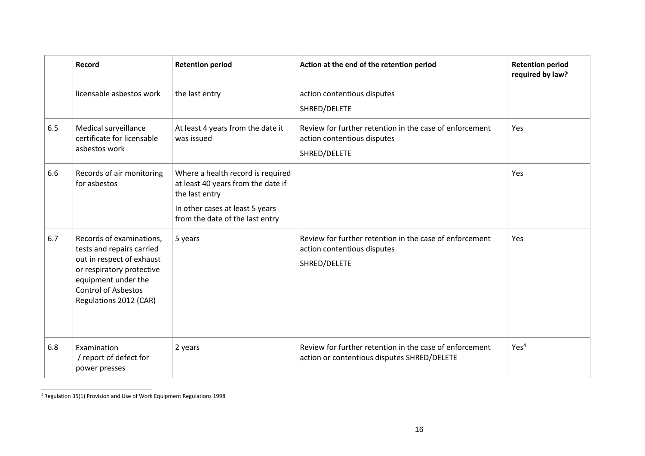|     | Record                                                                                                                                                                                         | <b>Retention period</b>                                                                                                                                         | Action at the end of the retention period                                                              | <b>Retention period</b><br>required by law? |
|-----|------------------------------------------------------------------------------------------------------------------------------------------------------------------------------------------------|-----------------------------------------------------------------------------------------------------------------------------------------------------------------|--------------------------------------------------------------------------------------------------------|---------------------------------------------|
|     | licensable asbestos work                                                                                                                                                                       | the last entry                                                                                                                                                  | action contentious disputes<br>SHRED/DELETE                                                            |                                             |
| 6.5 | Medical surveillance<br>certificate for licensable<br>asbestos work                                                                                                                            | At least 4 years from the date it<br>was issued                                                                                                                 | Review for further retention in the case of enforcement<br>action contentious disputes<br>SHRED/DELETE | Yes                                         |
| 6.6 | Records of air monitoring<br>for asbestos                                                                                                                                                      | Where a health record is required<br>at least 40 years from the date if<br>the last entry<br>In other cases at least 5 years<br>from the date of the last entry |                                                                                                        | Yes                                         |
| 6.7 | Records of examinations,<br>tests and repairs carried<br>out in respect of exhaust<br>or respiratory protective<br>equipment under the<br><b>Control of Asbestos</b><br>Regulations 2012 (CAR) | 5 years                                                                                                                                                         | Review for further retention in the case of enforcement<br>action contentious disputes<br>SHRED/DELETE | Yes                                         |
| 6.8 | Examination<br>/ report of defect for<br>power presses                                                                                                                                         | 2 years                                                                                                                                                         | Review for further retention in the case of enforcement<br>action or contentious disputes SHRED/DELETE | Yes <sup>4</sup>                            |

<sup>4</sup> Regulation 35(1) Provision and Use of Work Equipment Regulations 1998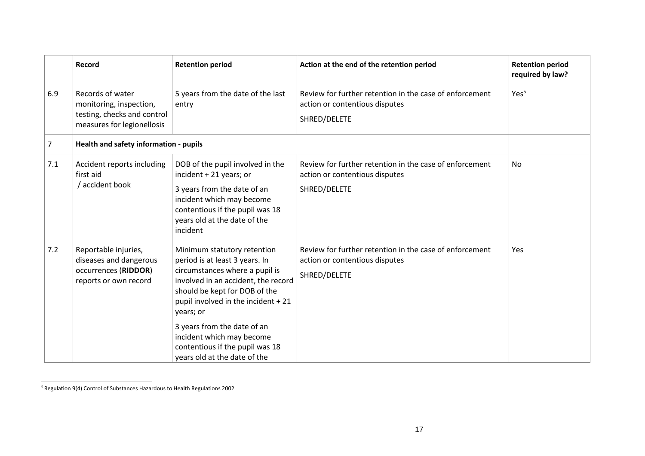|     | Record                                                                                                   | <b>Retention period</b>                                                                                                                                                                                                                                                                                                                                    | Action at the end of the retention period                                                                 | <b>Retention period</b><br>required by law? |
|-----|----------------------------------------------------------------------------------------------------------|------------------------------------------------------------------------------------------------------------------------------------------------------------------------------------------------------------------------------------------------------------------------------------------------------------------------------------------------------------|-----------------------------------------------------------------------------------------------------------|---------------------------------------------|
| 6.9 | Records of water<br>monitoring, inspection,<br>testing, checks and control<br>measures for legionellosis | 5 years from the date of the last<br>entry                                                                                                                                                                                                                                                                                                                 | Review for further retention in the case of enforcement<br>action or contentious disputes<br>SHRED/DELETE | Yes <sup>5</sup>                            |
| 7   | Health and safety information - pupils                                                                   |                                                                                                                                                                                                                                                                                                                                                            |                                                                                                           |                                             |
| 7.1 | Accident reports including<br>first aid<br>/ accident book                                               | DOB of the pupil involved in the<br>incident + 21 years; or<br>3 years from the date of an<br>incident which may become<br>contentious if the pupil was 18<br>years old at the date of the<br>incident                                                                                                                                                     | Review for further retention in the case of enforcement<br>action or contentious disputes<br>SHRED/DELETE | No                                          |
| 7.2 | Reportable injuries,<br>diseases and dangerous<br>occurrences (RIDDOR)<br>reports or own record          | Minimum statutory retention<br>period is at least 3 years. In<br>circumstances where a pupil is<br>involved in an accident, the record<br>should be kept for DOB of the<br>pupil involved in the incident + 21<br>years; or<br>3 years from the date of an<br>incident which may become<br>contentious if the pupil was 18<br>years old at the date of the | Review for further retention in the case of enforcement<br>action or contentious disputes<br>SHRED/DELETE | Yes                                         |

<sup>5</sup> Regulation 9(4) Control of Substances Hazardous to Health Regulations 2002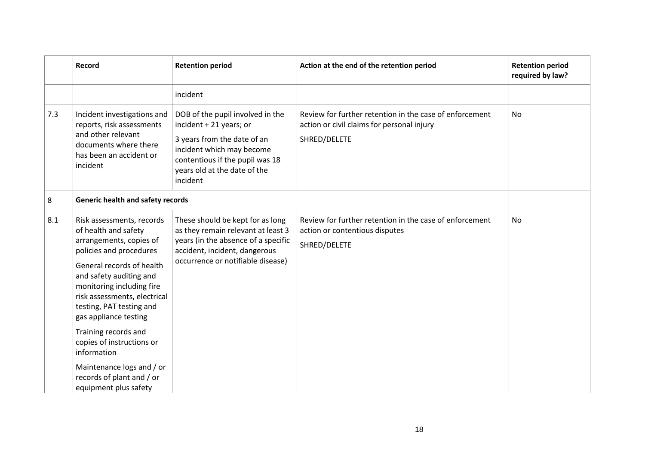|     | Record                                                                                                                                                                                                                                                                                                                                                                                                                                   | <b>Retention period</b>                                                                                                                                                                                | Action at the end of the retention period                                                                             | <b>Retention period</b><br>required by law? |
|-----|------------------------------------------------------------------------------------------------------------------------------------------------------------------------------------------------------------------------------------------------------------------------------------------------------------------------------------------------------------------------------------------------------------------------------------------|--------------------------------------------------------------------------------------------------------------------------------------------------------------------------------------------------------|-----------------------------------------------------------------------------------------------------------------------|---------------------------------------------|
|     |                                                                                                                                                                                                                                                                                                                                                                                                                                          | incident                                                                                                                                                                                               |                                                                                                                       |                                             |
| 7.3 | Incident investigations and<br>reports, risk assessments<br>and other relevant<br>documents where there<br>has been an accident or<br>incident                                                                                                                                                                                                                                                                                           | DOB of the pupil involved in the<br>incident + 21 years; or<br>3 years from the date of an<br>incident which may become<br>contentious if the pupil was 18<br>years old at the date of the<br>incident | Review for further retention in the case of enforcement<br>action or civil claims for personal injury<br>SHRED/DELETE | <b>No</b>                                   |
| 8   | <b>Generic health and safety records</b>                                                                                                                                                                                                                                                                                                                                                                                                 |                                                                                                                                                                                                        |                                                                                                                       |                                             |
| 8.1 | Risk assessments, records<br>of health and safety<br>arrangements, copies of<br>policies and procedures<br>General records of health<br>and safety auditing and<br>monitoring including fire<br>risk assessments, electrical<br>testing, PAT testing and<br>gas appliance testing<br>Training records and<br>copies of instructions or<br>information<br>Maintenance logs and / or<br>records of plant and / or<br>equipment plus safety | These should be kept for as long<br>as they remain relevant at least 3<br>years (in the absence of a specific<br>accident, incident, dangerous<br>occurrence or notifiable disease)                    | Review for further retention in the case of enforcement<br>action or contentious disputes<br>SHRED/DELETE             | No                                          |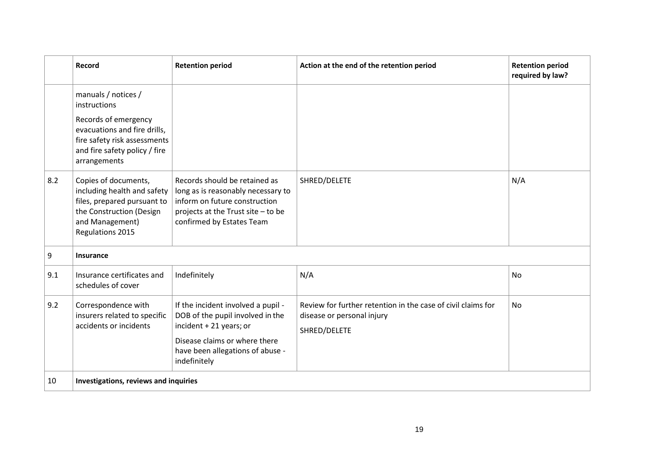|     | Record                                                                                                                                                                       | <b>Retention period</b>                                                                                                                                                                | Action at the end of the retention period                                                                  | <b>Retention period</b><br>required by law? |
|-----|------------------------------------------------------------------------------------------------------------------------------------------------------------------------------|----------------------------------------------------------------------------------------------------------------------------------------------------------------------------------------|------------------------------------------------------------------------------------------------------------|---------------------------------------------|
|     | manuals / notices /<br>instructions<br>Records of emergency<br>evacuations and fire drills,<br>fire safety risk assessments<br>and fire safety policy / fire<br>arrangements |                                                                                                                                                                                        |                                                                                                            |                                             |
| 8.2 | Copies of documents,<br>including health and safety<br>files, prepared pursuant to<br>the Construction (Design<br>and Management)<br>Regulations 2015                        | Records should be retained as<br>long as is reasonably necessary to<br>inform on future construction<br>projects at the Trust site - to be<br>confirmed by Estates Team                | SHRED/DELETE                                                                                               | N/A                                         |
| 9   | <b>Insurance</b>                                                                                                                                                             |                                                                                                                                                                                        |                                                                                                            |                                             |
| 9.1 | Insurance certificates and<br>schedules of cover                                                                                                                             | Indefinitely                                                                                                                                                                           | N/A                                                                                                        | <b>No</b>                                   |
| 9.2 | Correspondence with<br>insurers related to specific<br>accidents or incidents                                                                                                | If the incident involved a pupil -<br>DOB of the pupil involved in the<br>incident + 21 years; or<br>Disease claims or where there<br>have been allegations of abuse -<br>indefinitely | Review for further retention in the case of civil claims for<br>disease or personal injury<br>SHRED/DELETE | No                                          |
| 10  | Investigations, reviews and inquiries                                                                                                                                        |                                                                                                                                                                                        |                                                                                                            |                                             |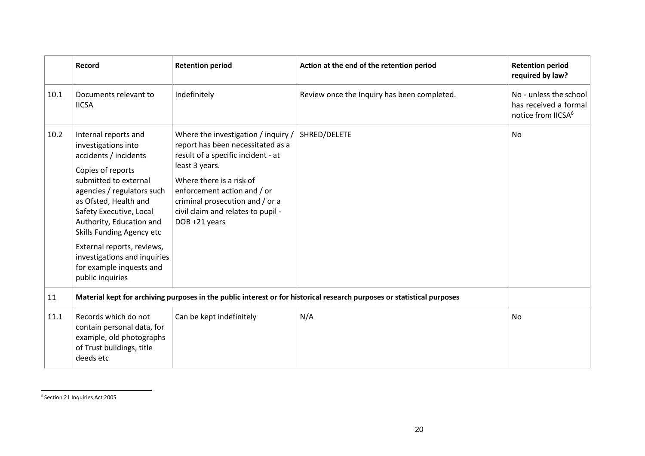|      | Record                                                                                                                                                                                                                                                                                                                                                                      | <b>Retention period</b>                                                                                                                                                                                                                                                               | Action at the end of the retention period                                                                               | <b>Retention period</b><br>required by law?                                       |
|------|-----------------------------------------------------------------------------------------------------------------------------------------------------------------------------------------------------------------------------------------------------------------------------------------------------------------------------------------------------------------------------|---------------------------------------------------------------------------------------------------------------------------------------------------------------------------------------------------------------------------------------------------------------------------------------|-------------------------------------------------------------------------------------------------------------------------|-----------------------------------------------------------------------------------|
| 10.1 | Documents relevant to<br><b>IICSA</b>                                                                                                                                                                                                                                                                                                                                       | Indefinitely                                                                                                                                                                                                                                                                          | Review once the Inquiry has been completed.                                                                             | No - unless the school<br>has received a formal<br>notice from IICSA <sup>6</sup> |
| 10.2 | Internal reports and<br>investigations into<br>accidents / incidents<br>Copies of reports<br>submitted to external<br>agencies / regulators such<br>as Ofsted, Health and<br>Safety Executive, Local<br>Authority, Education and<br>Skills Funding Agency etc<br>External reports, reviews,<br>investigations and inquiries<br>for example inquests and<br>public inquiries | Where the investigation / inquiry /<br>report has been necessitated as a<br>result of a specific incident - at<br>least 3 years.<br>Where there is a risk of<br>enforcement action and / or<br>criminal prosecution and / or a<br>civil claim and relates to pupil -<br>DOB +21 years | SHRED/DELETE                                                                                                            | <b>No</b>                                                                         |
| 11   |                                                                                                                                                                                                                                                                                                                                                                             |                                                                                                                                                                                                                                                                                       | Material kept for archiving purposes in the public interest or for historical research purposes or statistical purposes |                                                                                   |
| 11.1 | Records which do not<br>contain personal data, for<br>example, old photographs<br>of Trust buildings, title<br>deeds etc                                                                                                                                                                                                                                                    | Can be kept indefinitely                                                                                                                                                                                                                                                              | N/A                                                                                                                     | No                                                                                |

<sup>6</sup> Section 21 Inquiries Act 2005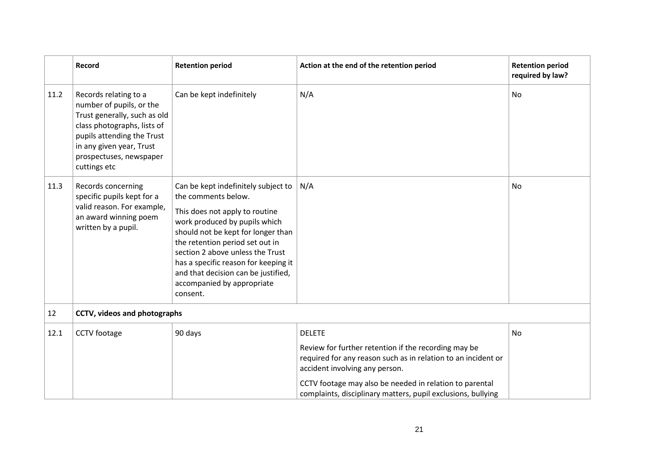<span id="page-20-0"></span>

|      | Record                                                                                                                                                                                                                | <b>Retention period</b>                                                                                                                                                                                                                                                                                                                                             | Action at the end of the retention period                                                                                                                                                                                                                                                           | <b>Retention period</b><br>required by law? |
|------|-----------------------------------------------------------------------------------------------------------------------------------------------------------------------------------------------------------------------|---------------------------------------------------------------------------------------------------------------------------------------------------------------------------------------------------------------------------------------------------------------------------------------------------------------------------------------------------------------------|-----------------------------------------------------------------------------------------------------------------------------------------------------------------------------------------------------------------------------------------------------------------------------------------------------|---------------------------------------------|
| 11.2 | Records relating to a<br>number of pupils, or the<br>Trust generally, such as old<br>class photographs, lists of<br>pupils attending the Trust<br>in any given year, Trust<br>prospectuses, newspaper<br>cuttings etc | Can be kept indefinitely                                                                                                                                                                                                                                                                                                                                            | N/A                                                                                                                                                                                                                                                                                                 | No                                          |
| 11.3 | Records concerning<br>specific pupils kept for a<br>valid reason. For example,<br>an award winning poem<br>written by a pupil.                                                                                        | Can be kept indefinitely subject to<br>the comments below.<br>This does not apply to routine<br>work produced by pupils which<br>should not be kept for longer than<br>the retention period set out in<br>section 2 above unless the Trust<br>has a specific reason for keeping it<br>and that decision can be justified,<br>accompanied by appropriate<br>consent. | N/A                                                                                                                                                                                                                                                                                                 | No                                          |
| 12   | CCTV, videos and photographs                                                                                                                                                                                          |                                                                                                                                                                                                                                                                                                                                                                     |                                                                                                                                                                                                                                                                                                     |                                             |
| 12.1 | <b>CCTV</b> footage                                                                                                                                                                                                   | 90 days                                                                                                                                                                                                                                                                                                                                                             | <b>DELETE</b><br>Review for further retention if the recording may be<br>required for any reason such as in relation to an incident or<br>accident involving any person.<br>CCTV footage may also be needed in relation to parental<br>complaints, disciplinary matters, pupil exclusions, bullying | <b>No</b>                                   |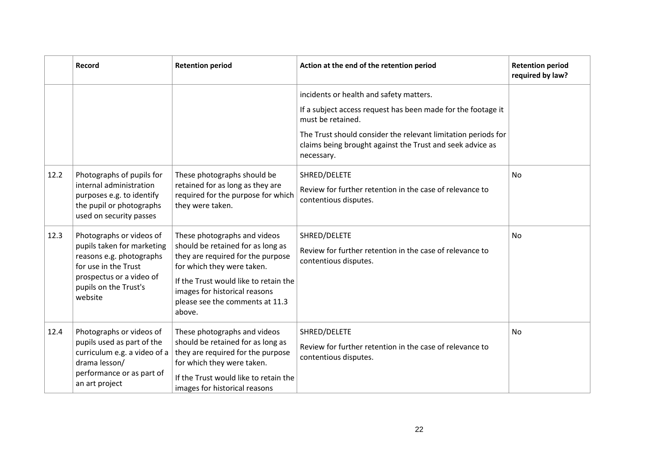|      | Record                                                                                                                                                                     | <b>Retention period</b>                                                                                                                                                                                                                                     | Action at the end of the retention period                                                                                                                                                                                                                                | <b>Retention period</b><br>required by law? |
|------|----------------------------------------------------------------------------------------------------------------------------------------------------------------------------|-------------------------------------------------------------------------------------------------------------------------------------------------------------------------------------------------------------------------------------------------------------|--------------------------------------------------------------------------------------------------------------------------------------------------------------------------------------------------------------------------------------------------------------------------|---------------------------------------------|
|      |                                                                                                                                                                            |                                                                                                                                                                                                                                                             | incidents or health and safety matters.<br>If a subject access request has been made for the footage it<br>must be retained.<br>The Trust should consider the relevant limitation periods for<br>claims being brought against the Trust and seek advice as<br>necessary. |                                             |
| 12.2 | Photographs of pupils for<br>internal administration<br>purposes e.g. to identify<br>the pupil or photographs<br>used on security passes                                   | These photographs should be<br>retained for as long as they are<br>required for the purpose for which<br>they were taken.                                                                                                                                   | SHRED/DELETE<br>Review for further retention in the case of relevance to<br>contentious disputes.                                                                                                                                                                        | <b>No</b>                                   |
| 12.3 | Photographs or videos of<br>pupils taken for marketing<br>reasons e.g. photographs<br>for use in the Trust<br>prospectus or a video of<br>pupils on the Trust's<br>website | These photographs and videos<br>should be retained for as long as<br>they are required for the purpose<br>for which they were taken.<br>If the Trust would like to retain the<br>images for historical reasons<br>please see the comments at 11.3<br>above. | SHRED/DELETE<br>Review for further retention in the case of relevance to<br>contentious disputes.                                                                                                                                                                        | No                                          |
| 12.4 | Photographs or videos of<br>pupils used as part of the<br>curriculum e.g. a video of a<br>drama lesson/<br>performance or as part of<br>an art project                     | These photographs and videos<br>should be retained for as long as<br>they are required for the purpose<br>for which they were taken.<br>If the Trust would like to retain the<br>images for historical reasons                                              | SHRED/DELETE<br>Review for further retention in the case of relevance to<br>contentious disputes.                                                                                                                                                                        | <b>No</b>                                   |